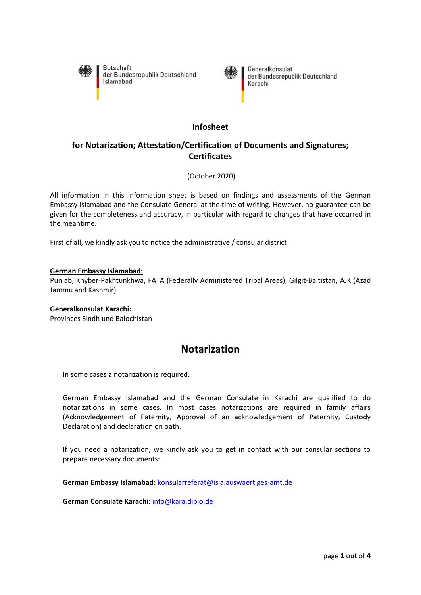

**Botschaft** der Bundesrepublik Deutschland Islamabad



Generalkonsulat der Bundesrepublik Deutschland Karachi

## **Infosheet**

## **for Notarization; Attestation/Certification of Documents and Signatures; Certificates**

(October 2020)

All information in this information sheet is based on findings and assessments of the German Embassy Islamabad and the Consulate General at the time of writing. However, no guarantee can be given for the completeness and accuracy, in particular with regard to changes that have occurred in the meantime.

First of all, we kindly ask you to notice the administrative / consular district

## **German Embassy Islamabad:**

Punjab, Khyber-Pakhtunkhwa, FATA (Federally Administered Tribal Areas), Gilgit-Baltistan, AJK (Azad Jammu and Kashmir)

## **Generalkonsulat Karachi:**

Provinces Sindh und Balochistan

# **Notarization**

In some cases a notarization is required.

German Embassy Islamabad and the German Consulate in Karachi are qualified to do notarizations in some cases. In most cases notarizations are required in family affairs (Acknowledgement of Paternity, Approval of an acknowledgement of Paternity, Custody Declaration) and declaration on oath.

If you need a notarization, we kindly ask you to get in contact with our consular sections to prepare necessary documents:

**German Embassy Islamabad:** [konsularreferat@isla.auswaertiges-amt.de](mailto:konsularreferat@isla.auswaertiges-amt.de)

**German Consulate Karachi:** [info@kara.diplo.de](mailto:info@kara.diplo.de)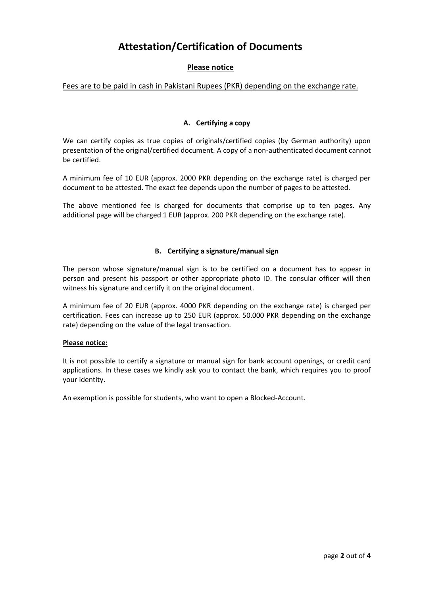# **Attestation/Certification of Documents**

## **Please notice**

## Fees are to be paid in cash in Pakistani Rupees (PKR) depending on the exchange rate.

### **A. Certifying a copy**

We can certify copies as true copies of originals/certified copies (by German authority) upon presentation of the original/certified document. A copy of a non-authenticated document cannot be certified.

A minimum fee of 10 EUR (approx. 2000 PKR depending on the exchange rate) is charged per document to be attested. The exact fee depends upon the number of pages to be attested.

The above mentioned fee is charged for documents that comprise up to ten pages. Any additional page will be charged 1 EUR (approx. 200 PKR depending on the exchange rate).

#### **B. Certifying a signature/manual sign**

The person whose signature/manual sign is to be certified on a document has to appear in person and present his passport or other appropriate photo ID. The consular officer will then witness his signature and certify it on the original document.

A minimum fee of 20 EUR (approx. 4000 PKR depending on the exchange rate) is charged per certification. Fees can increase up to 250 EUR (approx. 50.000 PKR depending on the exchange rate) depending on the value of the legal transaction.

#### **Please notice:**

It is not possible to certify a signature or manual sign for bank account openings, or credit card applications. In these cases we kindly ask you to contact the bank, which requires you to proof your identity.

An exemption is possible for students, who want to open a Blocked-Account.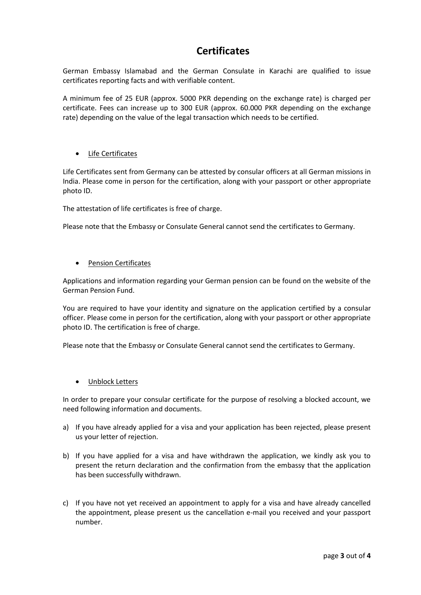# **Certificates**

German Embassy Islamabad and the German Consulate in Karachi are qualified to issue certificates reporting facts and with verifiable content.

A minimum fee of 25 EUR (approx. 5000 PKR depending on the exchange rate) is charged per certificate. Fees can increase up to 300 EUR (approx. 60.000 PKR depending on the exchange rate) depending on the value of the legal transaction which needs to be certified.

### Life Certificates

Life Certificates sent from Germany can be attested by consular officers at all German missions in India. Please come in person for the certification, along with your passport or other appropriate photo ID.

The attestation of life certificates is free of charge.

Please note that the Embassy or Consulate General cannot send the certificates to Germany.

### **•** Pension Certificates

Applications and information regarding your German pension can be found on the website of the German Pension Fund.

You are required to have your identity and signature on the application certified by a consular officer. Please come in person for the certification, along with your passport or other appropriate photo ID. The certification is free of charge.

Please note that the Embassy or Consulate General cannot send the certificates to Germany.

#### Unblock Letters

In order to prepare your consular certificate for the purpose of resolving a blocked account, we need following information and documents.

- a) If you have already applied for a visa and your application has been rejected, please present us your letter of rejection.
- b) If you have applied for a visa and have withdrawn the application, we kindly ask you to present the return declaration and the confirmation from the embassy that the application has been successfully withdrawn.
- c) If you have not yet received an appointment to apply for a visa and have already cancelled the appointment, please present us the cancellation e-mail you received and your passport number.